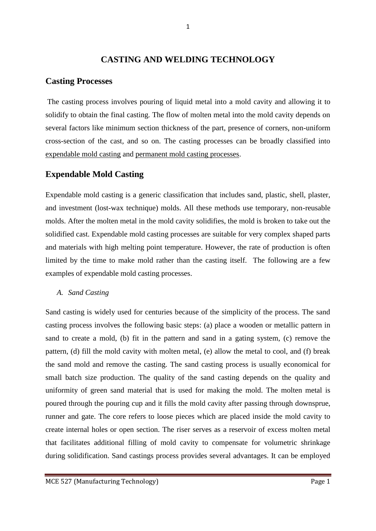## **CASTING AND WELDING TECHNOLOGY**

## **Casting Processes**

The casting process involves pouring of liquid metal into a mold cavity and allowing it to solidify to obtain the final casting. The flow of molten metal into the mold cavity depends on several factors like minimum section thickness of the part, presence of corners, non-uniform cross-section of the cast, and so on. The casting processes can be broadly classified into expendable mold casting and permanent mold casting processes.

## **Expendable Mold Casting**

Expendable mold casting is a generic classification that includes sand, plastic, shell, plaster, and investment (lost-wax technique) molds. All these methods use temporary, non-reusable molds. After the molten metal in the mold cavity solidifies, the mold is broken to take out the solidified cast. Expendable mold casting processes are suitable for very complex shaped parts and materials with high melting point temperature. However, the rate of production is often limited by the time to make mold rather than the casting itself. The following are a few examples of expendable mold casting processes.

### *A. Sand Casting*

Sand casting is widely used for centuries because of the simplicity of the process. The sand casting process involves the following basic steps: (a) place a wooden or metallic pattern in sand to create a mold, (b) fit in the pattern and sand in a gating system, (c) remove the pattern, (d) fill the mold cavity with molten metal, (e) allow the metal to cool, and (f) break the sand mold and remove the casting. The sand casting process is usually economical for small batch size production. The quality of the sand casting depends on the quality and uniformity of green sand material that is used for making the mold. The molten metal is poured through the pouring cup and it fills the mold cavity after passing through downsprue, runner and gate. The core refers to loose pieces which are placed inside the mold cavity to create internal holes or open section. The riser serves as a reservoir of excess molten metal that facilitates additional filling of mold cavity to compensate for volumetric shrinkage during solidification. Sand castings process provides several advantages. It can be employed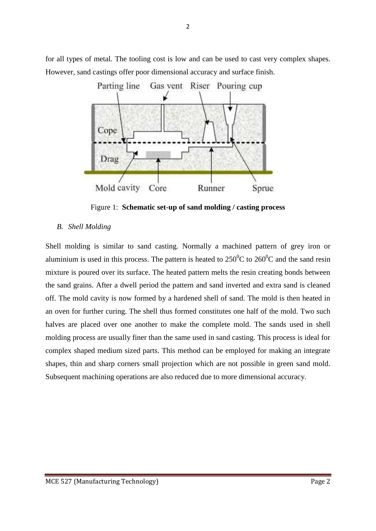

for all types of metal. The tooling cost is low and can be used to cast very complex shapes. However, sand castings offer poor dimensional accuracy and surface finish.

Figure 1: **Schematic set-up of sand molding / casting process** 

#### *B. Shell Molding*

Shell molding is similar to sand casting. Normally a machined pattern of grey iron or aluminium is used in this process. The pattern is heated to  $250^{\circ}$ C to  $260^{\circ}$ C and the sand resin mixture is poured over its surface. The heated pattern melts the resin creating bonds between the sand grains. After a dwell period the pattern and sand inverted and extra sand is cleaned off. The mold cavity is now formed by a hardened shell of sand. The mold is then heated in an oven for further curing. The shell thus formed constitutes one half of the mold. Two such halves are placed over one another to make the complete mold. The sands used in shell molding process are usually finer than the same used in sand casting. This process is ideal for complex shaped medium sized parts. This method can be employed for making an integrate shapes, thin and sharp corners small projection which are not possible in green sand mold. Subsequent machining operations are also reduced due to more dimensional accuracy.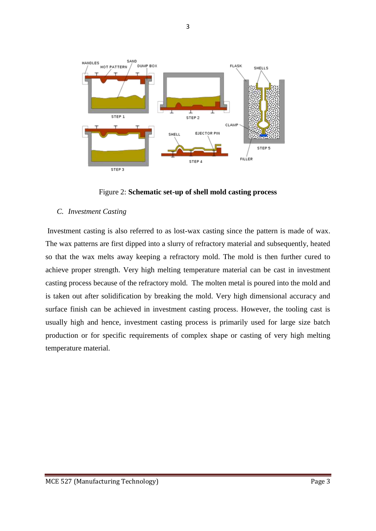

Figure 2: **Schematic set-up of shell mold casting process**

#### *C. Investment Casting*

Investment casting is also referred to as lost-wax casting since the pattern is made of wax. The wax patterns are first dipped into a slurry of refractory material and subsequently, heated so that the wax melts away keeping a refractory mold. The mold is then further cured to achieve proper strength. Very high melting temperature material can be cast in investment casting process because of the refractory mold. The molten metal is poured into the mold and is taken out after solidification by breaking the mold. Very high dimensional accuracy and surface finish can be achieved in investment casting process. However, the tooling cast is usually high and hence, investment casting process is primarily used for large size batch production or for specific requirements of complex shape or casting of very high melting temperature material.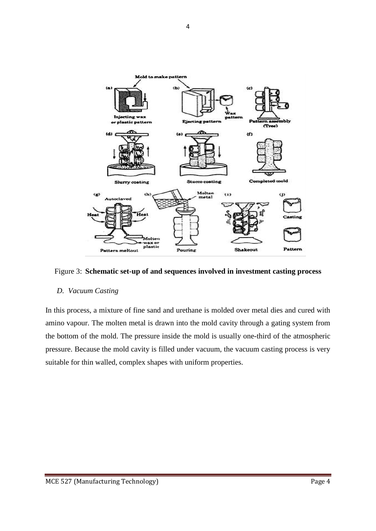

Figure 3: **Schematic set-up of and sequences involved in investment casting process**

#### *D. Vacuum Casting*

In this process, a mixture of fine sand and urethane is molded over metal dies and cured with amino vapour. The molten metal is drawn into the mold cavity through a gating system from the bottom of the mold. The pressure inside the mold is usually one-third of the atmospheric pressure. Because the mold cavity is filled under vacuum, the vacuum casting process is very suitable for thin walled, complex shapes with uniform properties.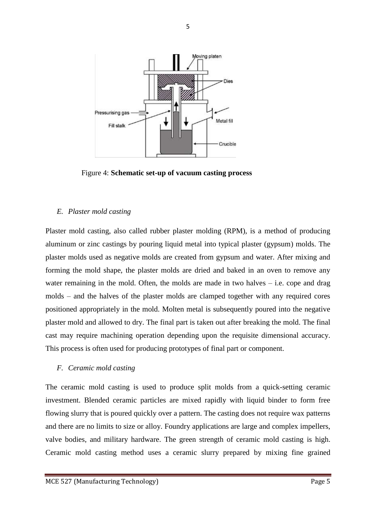

Figure 4: **Schematic set-up of vacuum casting process**

#### *E. Plaster mold casting*

Plaster mold casting, also called rubber plaster molding (RPM), is a method of producing aluminum or zinc castings by pouring liquid metal into typical plaster (gypsum) molds. The plaster molds used as negative molds are created from gypsum and water. After mixing and forming the mold shape, the plaster molds are dried and baked in an oven to remove any water remaining in the mold. Often, the molds are made in two halves  $-$  i.e. cope and drag molds – and the halves of the plaster molds are clamped together with any required cores positioned appropriately in the mold. Molten metal is subsequently poured into the negative plaster mold and allowed to dry. The final part is taken out after breaking the mold. The final cast may require machining operation depending upon the requisite dimensional accuracy. This process is often used for producing prototypes of final part or component.

#### *F. Ceramic mold casting*

The ceramic mold casting is used to produce split molds from a quick-setting ceramic investment. Blended ceramic particles are mixed rapidly with liquid binder to form free flowing slurry that is poured quickly over a pattern. The casting does not require wax patterns and there are no limits to size or alloy. Foundry applications are large and complex impellers, valve bodies, and military hardware. The green strength of ceramic mold casting is high. Ceramic mold casting method uses a ceramic slurry prepared by mixing fine grained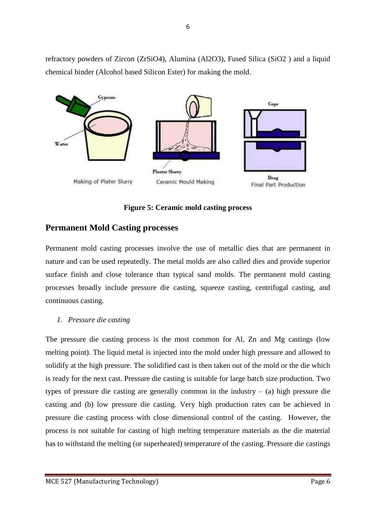refractory powders of Zircon (ZrSiO4), Alumina (Al2O3), Fused Silica (SiO2 ) and a liquid chemical binder (Alcohol based Silicon Ester) for making the mold.



**Figure 5: Ceramic mold casting process**

# **Permanent Mold Casting processes**

Permanent mold casting processes involve the use of metallic dies that are permanent in nature and can be used repeatedly. The metal molds are also called dies and provide superior surface finish and close tolerance than typical sand molds. The permanent mold casting processes broadly include pressure die casting, squeeze casting, centrifugal casting, and continuous casting.

## *1. Pressure die casting*

The pressure die casting process is the most common for Al, Zn and Mg castings (low melting point). The liquid metal is injected into the mold under high pressure and allowed to solidify at the high pressure. The solidified cast is then taken out of the mold or the die which is ready for the next cast. Pressure die casting is suitable for large batch size production. Two types of pressure die casting are generally common in the industry – (a) high pressure die casting and (b) low pressure die casting. Very high production rates can be achieved in pressure die casting process with close dimensional control of the casting. However, the process is not suitable for casting of high melting temperature materials as the die material has to withstand the melting (or superheated) temperature of the casting. Pressure die castings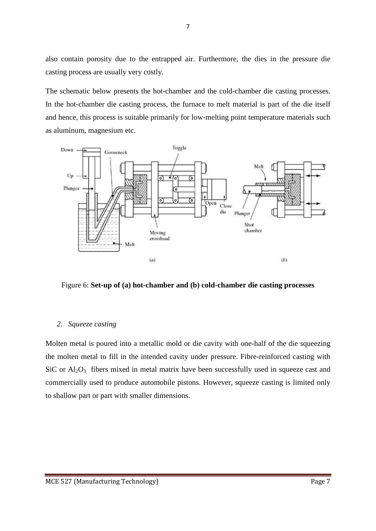also contain porosity due to the entrapped air. Furthermore, the dies in the pressure die casting process are usually very costly.

The schematic below presents the hot-chamber and the cold-chamber die casting processes. In the hot-chamber die casting process, the furnace to melt material is part of the die itself and hence, this process is suitable primarily for low-melting point temperature materials such as aluminum, magnesium etc.



Figure 6: **Set-up of (a) hot-chamber and (b) cold-chamber die casting processes**

#### *2. Squeeze casting*

Molten metal is poured into a metallic mold or die cavity with one-half of the die squeezing the molten metal to fill in the intended cavity under pressure. Fibre-reinforced casting with  $SiC$  or  $Al_2O_3$  fibers mixed in metal matrix have been successfully used in squeeze cast and commercially used to produce automobile pistons. However, squeeze casting is limited only to shallow part or part with smaller dimensions.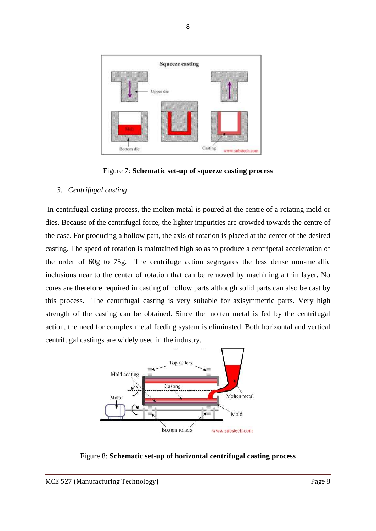

Figure 7: **Schematic set-up of squeeze casting process**

#### *3. Centrifugal casting*

In centrifugal casting process, the molten metal is poured at the centre of a rotating mold or dies. Because of the centrifugal force, the lighter impurities are crowded towards the centre of the case. For producing a hollow part, the axis of rotation is placed at the center of the desired casting. The speed of rotation is maintained high so as to produce a centripetal acceleration of the order of 60g to 75g. The centrifuge action segregates the less dense non-metallic inclusions near to the center of rotation that can be removed by machining a thin layer. No cores are therefore required in casting of hollow parts although solid parts can also be cast by this process. The centrifugal casting is very suitable for axisymmetric parts. Very high strength of the casting can be obtained. Since the molten metal is fed by the centrifugal action, the need for complex metal feeding system is eliminated. Both horizontal and vertical centrifugal castings are widely used in the industry.



Figure 8: **Schematic set-up of horizontal centrifugal casting process**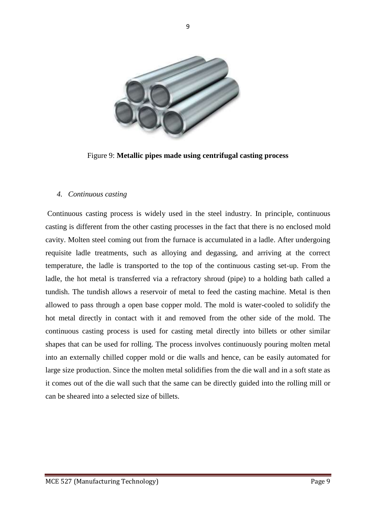

9

Figure 9: **Metallic pipes made using centrifugal casting process**

#### *4. Continuous casting*

Continuous casting process is widely used in the steel industry. In principle, continuous casting is different from the other casting processes in the fact that there is no enclosed mold cavity. Molten steel coming out from the furnace is accumulated in a ladle. After undergoing requisite ladle treatments, such as alloying and degassing, and arriving at the correct temperature, the ladle is transported to the top of the continuous casting set-up. From the ladle, the hot metal is transferred via a refractory shroud (pipe) to a holding bath called a tundish. The tundish allows a reservoir of metal to feed the casting machine. Metal is then allowed to pass through a open base copper mold. The mold is water-cooled to solidify the hot metal directly in contact with it and removed from the other side of the mold. The continuous casting process is used for casting metal directly into billets or other similar shapes that can be used for rolling. The process involves continuously pouring molten metal into an externally chilled copper mold or die walls and hence, can be easily automated for large size production. Since the molten metal solidifies from the die wall and in a soft state as it comes out of the die wall such that the same can be directly guided into the rolling mill or can be sheared into a selected size of billets.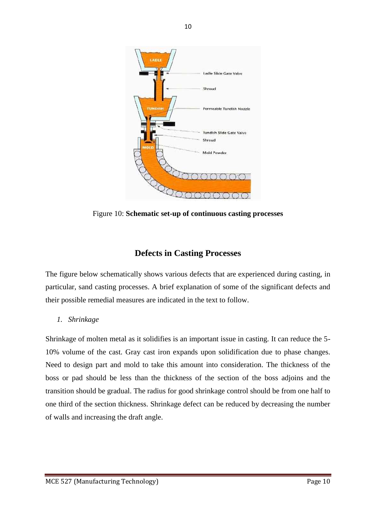

Figure 10: **Schematic set-up of continuous casting processes**

# **Defects in Casting Processes**

The figure below schematically shows various defects that are experienced during casting, in particular, sand casting processes. A brief explanation of some of the significant defects and their possible remedial measures are indicated in the text to follow.

*1. Shrinkage* 

Shrinkage of molten metal as it solidifies is an important issue in casting. It can reduce the 5- 10% volume of the cast. Gray cast iron expands upon solidification due to phase changes. Need to design part and mold to take this amount into consideration. The thickness of the boss or pad should be less than the thickness of the section of the boss adjoins and the transition should be gradual. The radius for good shrinkage control should be from one half to one third of the section thickness. Shrinkage defect can be reduced by decreasing the number of walls and increasing the draft angle.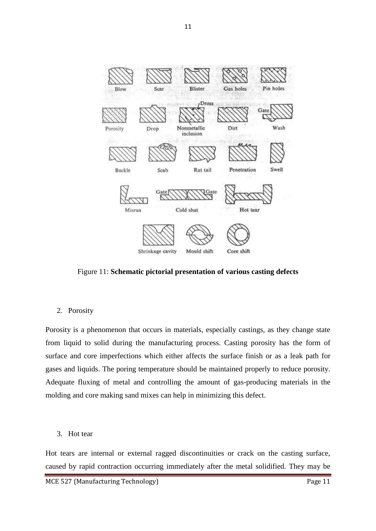

Figure 11: **Schematic pictorial presentation of various casting defects**

#### 2. Porosity

Porosity is a phenomenon that occurs in materials, especially castings, as they change state from liquid to solid during the manufacturing process. Casting porosity has the form of surface and core imperfections which either affects the surface finish or as a leak path for gases and liquids. The poring temperature should be maintained properly to reduce porosity. Adequate fluxing of metal and controlling the amount of gas-producing materials in the molding and core making sand mixes can help in minimizing this defect.

3. Hot tear

Hot tears are internal or external ragged discontinuities or crack on the casting surface, caused by rapid contraction occurring immediately after the metal solidified. They may be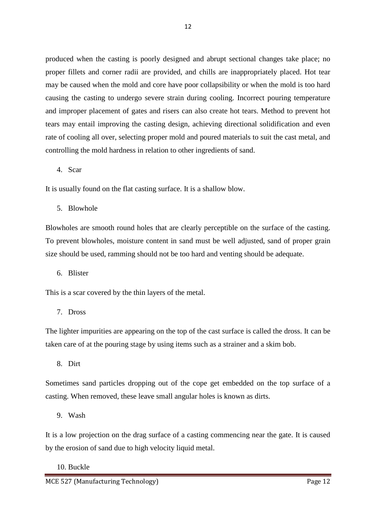produced when the casting is poorly designed and abrupt sectional changes take place; no proper fillets and corner radii are provided, and chills are inappropriately placed. Hot tear may be caused when the mold and core have poor collapsibility or when the mold is too hard causing the casting to undergo severe strain during cooling. Incorrect pouring temperature and improper placement of gates and risers can also create hot tears. Method to prevent hot tears may entail improving the casting design, achieving directional solidification and even rate of cooling all over, selecting proper mold and poured materials to suit the cast metal, and controlling the mold hardness in relation to other ingredients of sand.

## 4. Scar

It is usually found on the flat casting surface. It is a shallow blow.

5. Blowhole

Blowholes are smooth round holes that are clearly perceptible on the surface of the casting. To prevent blowholes, moisture content in sand must be well adjusted, sand of proper grain size should be used, ramming should not be too hard and venting should be adequate.

6. Blister

This is a scar covered by the thin layers of the metal.

7. Dross

The lighter impurities are appearing on the top of the cast surface is called the dross. It can be taken care of at the pouring stage by using items such as a strainer and a skim bob.

8. Dirt

Sometimes sand particles dropping out of the cope get embedded on the top surface of a casting. When removed, these leave small angular holes is known as dirts.

9. Wash

It is a low projection on the drag surface of a casting commencing near the gate. It is caused by the erosion of sand due to high velocity liquid metal.

10. Buckle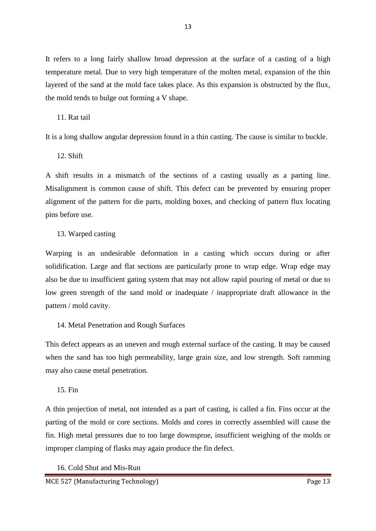It refers to a long fairly shallow broad depression at the surface of a casting of a high temperature metal. Due to very high temperature of the molten metal, expansion of the thin layered of the sand at the mold face takes place. As this expansion is obstructed by the flux, the mold tends to bulge out forming a V shape.

## 11. Rat tail

It is a long shallow angular depression found in a thin casting. The cause is similar to buckle.

12. Shift

A shift results in a mismatch of the sections of a casting usually as a parting line. Misalignment is common cause of shift. This defect can be prevented by ensuring proper alignment of the pattern for die parts, molding boxes, and checking of pattern flux locating pins before use.

## 13. Warped casting

Warping is an undesirable deformation in a casting which occurs during or after solidification. Large and flat sections are particularly prone to wrap edge. Wrap edge may also be due to insufficient gating system that may not allow rapid pouring of metal or due to low green strength of the sand mold or inadequate / inappropriate draft allowance in the pattern / mold cavity.

### 14. Metal Penetration and Rough Surfaces

This defect appears as an uneven and rough external surface of the casting. It may be caused when the sand has too high permeability, large grain size, and low strength. Soft ramming may also cause metal penetration.

### 15. Fin

A thin projection of metal, not intended as a part of casting, is called a fin. Fins occur at the parting of the mold or core sections. Molds and cores in correctly assembled will cause the fin. High metal pressures due to too large downsprue, insufficient weighing of the molds or improper clamping of flasks may again produce the fin defect.

### 16. Cold Shut and Mis-Run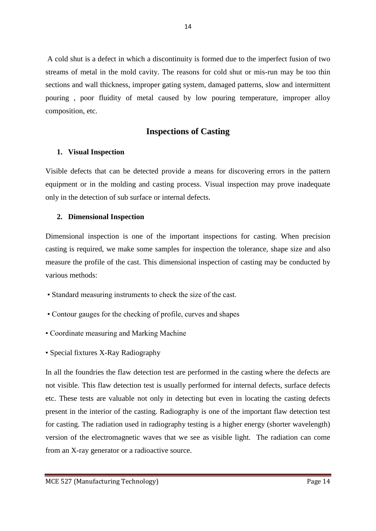A cold shut is a defect in which a discontinuity is formed due to the imperfect fusion of two streams of metal in the mold cavity. The reasons for cold shut or mis-run may be too thin sections and wall thickness, improper gating system, damaged patterns, slow and intermittent pouring , poor fluidity of metal caused by low pouring temperature, improper alloy composition, etc.

## **Inspections of Casting**

### **1. Visual Inspection**

Visible defects that can be detected provide a means for discovering errors in the pattern equipment or in the molding and casting process. Visual inspection may prove inadequate only in the detection of sub surface or internal defects.

#### **2. Dimensional Inspection**

Dimensional inspection is one of the important inspections for casting. When precision casting is required, we make some samples for inspection the tolerance, shape size and also measure the profile of the cast. This dimensional inspection of casting may be conducted by various methods:

- Standard measuring instruments to check the size of the cast.
- Contour gauges for the checking of profile, curves and shapes
- Coordinate measuring and Marking Machine
- Special fixtures X-Ray Radiography

In all the foundries the flaw detection test are performed in the casting where the defects are not visible. This flaw detection test is usually performed for internal defects, surface defects etc. These tests are valuable not only in detecting but even in locating the casting defects present in the interior of the casting. Radiography is one of the important flaw detection test for casting. The radiation used in radiography testing is a higher energy (shorter wavelength) version of the electromagnetic waves that we see as visible light. The radiation can come from an X-ray generator or a radioactive source.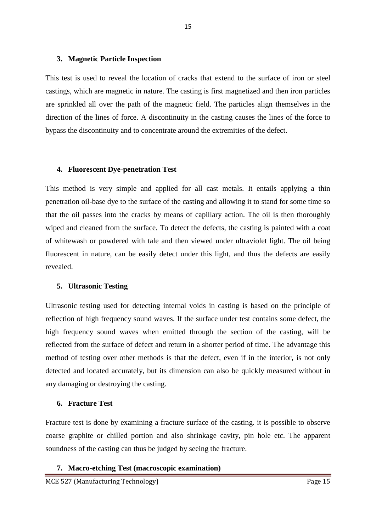#### **3. Magnetic Particle Inspection**

This test is used to reveal the location of cracks that extend to the surface of iron or steel castings, which are magnetic in nature. The casting is first magnetized and then iron particles are sprinkled all over the path of the magnetic field. The particles align themselves in the direction of the lines of force. A discontinuity in the casting causes the lines of the force to bypass the discontinuity and to concentrate around the extremities of the defect.

#### **4. Fluorescent Dye-penetration Test**

This method is very simple and applied for all cast metals. It entails applying a thin penetration oil-base dye to the surface of the casting and allowing it to stand for some time so that the oil passes into the cracks by means of capillary action. The oil is then thoroughly wiped and cleaned from the surface. To detect the defects, the casting is painted with a coat of whitewash or powdered with tale and then viewed under ultraviolet light. The oil being fluorescent in nature, can be easily detect under this light, and thus the defects are easily revealed.

#### **5. Ultrasonic Testing**

Ultrasonic testing used for detecting internal voids in casting is based on the principle of reflection of high frequency sound waves. If the surface under test contains some defect, the high frequency sound waves when emitted through the section of the casting, will be reflected from the surface of defect and return in a shorter period of time. The advantage this method of testing over other methods is that the defect, even if in the interior, is not only detected and located accurately, but its dimension can also be quickly measured without in any damaging or destroying the casting.

#### **6. Fracture Test**

Fracture test is done by examining a fracture surface of the casting. it is possible to observe coarse graphite or chilled portion and also shrinkage cavity, pin hole etc. The apparent soundness of the casting can thus be judged by seeing the fracture.

#### **7. Macro-etching Test (macroscopic examination)**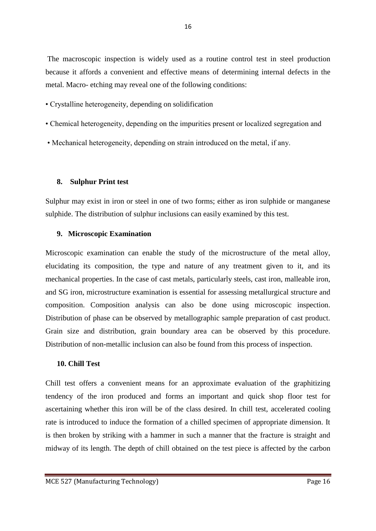The macroscopic inspection is widely used as a routine control test in steel production because it affords a convenient and effective means of determining internal defects in the metal. Macro- etching may reveal one of the following conditions:

- Crystalline heterogeneity, depending on solidification
- Chemical heterogeneity, depending on the impurities present or localized segregation and
- Mechanical heterogeneity, depending on strain introduced on the metal, if any.

### **8. Sulphur Print test**

Sulphur may exist in iron or steel in one of two forms; either as iron sulphide or manganese sulphide. The distribution of sulphur inclusions can easily examined by this test.

#### **9. Microscopic Examination**

Microscopic examination can enable the study of the microstructure of the metal alloy, elucidating its composition, the type and nature of any treatment given to it, and its mechanical properties. In the case of cast metals, particularly steels, cast iron, malleable iron, and SG iron, microstructure examination is essential for assessing metallurgical structure and composition. Composition analysis can also be done using microscopic inspection. Distribution of phase can be observed by metallographic sample preparation of cast product. Grain size and distribution, grain boundary area can be observed by this procedure. Distribution of non-metallic inclusion can also be found from this process of inspection.

### **10. Chill Test**

Chill test offers a convenient means for an approximate evaluation of the graphitizing tendency of the iron produced and forms an important and quick shop floor test for ascertaining whether this iron will be of the class desired. In chill test, accelerated cooling rate is introduced to induce the formation of a chilled specimen of appropriate dimension. It is then broken by striking with a hammer in such a manner that the fracture is straight and midway of its length. The depth of chill obtained on the test piece is affected by the carbon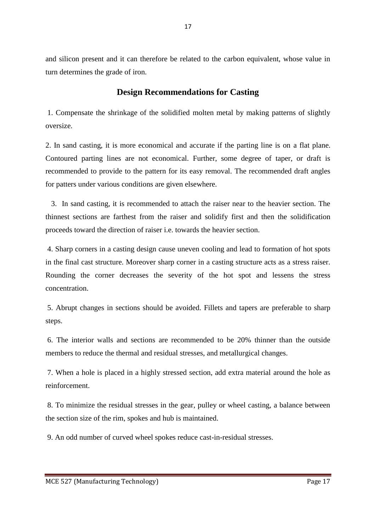and silicon present and it can therefore be related to the carbon equivalent, whose value in turn determines the grade of iron.

## **Design Recommendations for Casting**

1. Compensate the shrinkage of the solidified molten metal by making patterns of slightly oversize.

2. In sand casting, it is more economical and accurate if the parting line is on a flat plane. Contoured parting lines are not economical. Further, some degree of taper, or draft is recommended to provide to the pattern for its easy removal. The recommended draft angles for patters under various conditions are given elsewhere.

 3. In sand casting, it is recommended to attach the raiser near to the heavier section. The thinnest sections are farthest from the raiser and solidify first and then the solidification proceeds toward the direction of raiser i.e. towards the heavier section.

4. Sharp corners in a casting design cause uneven cooling and lead to formation of hot spots in the final cast structure. Moreover sharp corner in a casting structure acts as a stress raiser. Rounding the corner decreases the severity of the hot spot and lessens the stress concentration.

5. Abrupt changes in sections should be avoided. Fillets and tapers are preferable to sharp steps.

6. The interior walls and sections are recommended to be 20% thinner than the outside members to reduce the thermal and residual stresses, and metallurgical changes.

7. When a hole is placed in a highly stressed section, add extra material around the hole as reinforcement.

8. To minimize the residual stresses in the gear, pulley or wheel casting, a balance between the section size of the rim, spokes and hub is maintained.

9. An odd number of curved wheel spokes reduce cast-in-residual stresses.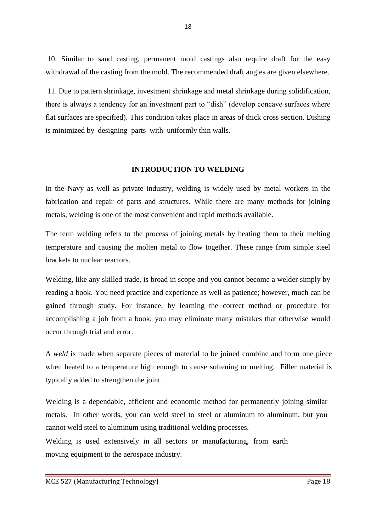10. Similar to sand casting, permanent mold castings also require draft for the easy withdrawal of the casting from the mold. The recommended draft angles are given elsewhere.

11. Due to pattern shrinkage, investment shrinkage and metal shrinkage during solidification, there is always a tendency for an investment part to "dish" (develop concave surfaces where flat surfaces are specified). This condition takes place in areas of thick cross section. Dishing is minimized by designing parts with uniformly thin walls.

#### **INTRODUCTION TO WELDING**

In the Navy as well as private industry, welding is widely used by metal workers in the fabrication and repair of parts and structures. While there are many methods for joining metals, welding is one of the most convenient and rapid methods available.

The term welding refers to the process of joining metals by heating them to their melting temperature and causing the molten metal to flow together. These range from simple steel brackets to nuclear reactors.

Welding, like any skilled trade, is broad in scope and you cannot become a welder simply by reading a book. You need practice and experience as well as patience; however, much can be gained through study. For instance, by learning the correct method or procedure for accomplishing a job from a book, you may eliminate many mistakes that otherwise would occur through trial and error.

A *weld* is made when separate pieces of material to be joined combine and form one piece when heated to a temperature high enough to cause softening or melting. Filler material is typically added to strengthen the joint.

Welding is a dependable, efficient and economic method for permanently joining similar metals. In other words, you can weld steel to steel or aluminum to aluminum, but you cannot weld steel to aluminum using traditional welding processes.

Welding is used extensively in all sectors or manufacturing, from earth moving equipment to the aerospace industry.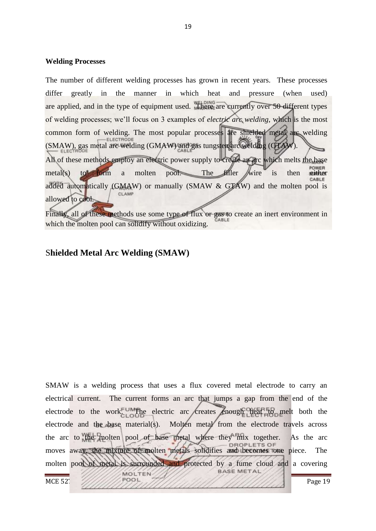#### **Welding Processes**

The number of different welding processes has grown in recent years. These processes differ greatly in the manner in which heat and pressure (when used) are applied, and in the type of equipment used. There are currently over 50 different types of welding processes; we"ll focus on 3 examples of *electric arc welding*, which is the most common form of welding. The most popular processes are shielded metal arc welding (SMAW), gas metal arc welding (GMAW) and gas tungsten arc welding (GTAW). All of these methods employ an electric power supply to create an arc which melts the base metal(s) to form a molten pool. The filler wire is then either added automatically (GMAW) or manually (SMAW & GTAW) and the molten pool is CLAMP allowed to cool.

Finally, all of these methods use some type of flux or gas to create an inert environment in ABLE which the molten pool can solidify without oxidizing.

### S**hielded Metal Arc Welding (SMAW)**

SMAW is a welding process that uses a flux covered metal electrode to carry an electrical current. The current forms an arc that jumps a gap from the end of the electrode to the work. UM The electric arc creates enough heat to melt both the electrode and the base material(s). Molten metal from the electrode travels across the arc to the molten pool of base metal where they mix together. As the arc moves away, the mixture of molten metals solidifies and becomes one piece. The molten pool of metal is surrounded and protected by a fume cloud and a covering **BASE METAL** MOLTEN MCE 527  $\frac{1}{2}$  Page 19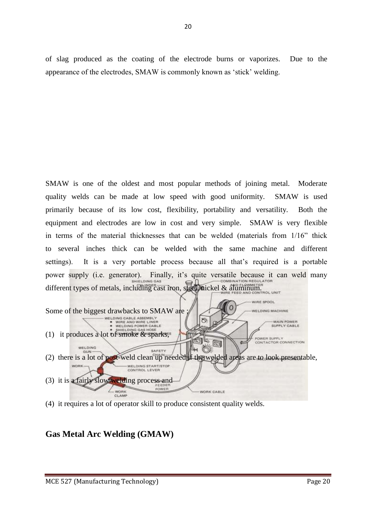of slag produced as the coating of the electrode burns or vaporizes. Due to the appearance of the electrodes, SMAW is commonly known as "stick" welding.

SMAW is one of the oldest and most popular methods of joining metal. Moderate quality welds can be made at low speed with good uniformity. SMAW is used primarily because of its low cost, flexibility, portability and versatility. Both the equipment and electrodes are low in cost and very simple. SMAW is very flexible in terms of the material thicknesses that can be welded (materials from 1/16" thick to several inches thick can be welded with the same machine and different settings). It is a very portable process because all that's required is a portable power supply (i.e. generator). Finally, it's quite versatile because it can weld many different types of metals, including cast iron, steel, nickel & aluminum. **WIRE SPOOL** Some of the biggest drawbacks to SMAW are  $\frac{1}{100}$  we now again and wife line and wife line and wife line and wife line and wife line and wife line and wife line and wife line and wife line and wife line and wife line a *NELDING MACHINE* 8 -MAIN POWER<br>SUPPLY CABLE (1) it produces a lot of smoke & sparks, POWER SUPPLY CONTACTOR CONNECTION **Rg** WELDING SAFETY (2) there is a lot of post-weld clean up needed if the welded areas are to look presentable, WELDING START/STOP<br>CONTROL LEVER **WORK** 

WORK CABLE



## **Gas Metal Arc Welding (GMAW)**

(3) it is a fairly slow welding process and

**WORK** 

CLAMP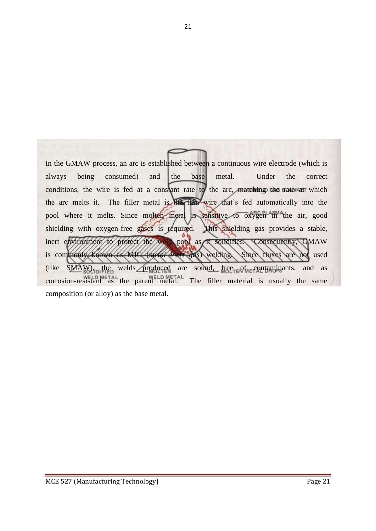In the GMAW process, an arc is established between a continuous wire electrode (which is always being consumed) and the base metal. Under the correct conditions, the wire is fed at a constant rate to the arc, matching the rate at which the arc melts it. The filler metal is the thin wire that"s fed automatically into the pool where it melts. Since molten metal is sensitive to oxygen in the air, good shielding with oxygen-free gases is required. This shielding gas provides a stable, inert environment to protect the weld pool as it solidifies. Consequently, GMAW is commonly known as MIG (*metal inert gas*) welding. Since fluxes are not used (like  $SMAW$ ), the welds produced are sound, free  $SMAW$ ), and as corrosion-resistant as the parent metal. The filler material is usually the same composition (or alloy) as the base metal.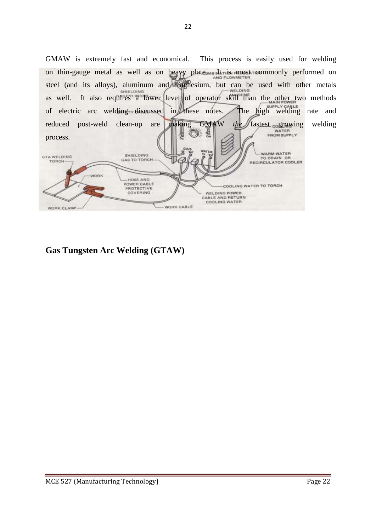GMAW is extremely fast and economical. This process is easily used for welding on thin-gauge metal as well as on heavy plate. In most commonly performed on steel (and its alloys), aluminum and magnesium, but can be used with other metals as well. It also requires a lower level of operator skill than the other two methods of electric arc welding discussed in these notes. The high welding rate and reduced post-weld clean-up are making GMAW *the* fastest cogrowing welding 쇻 process. WARM WATER SHIELDING **GTA WELDING** TO DRAIN OR GAS TO TORCH TORCH RECIRCULATOR COOLER VORK - HOSE AND<br>POWER CABLE COOLING WATER TO TORCH **PROTECTIVE**<br>COVERING WELDING POWER CABLE AND RETURN<br>COOLING WATER WORK CABLE WORK CLAMP

**Gas Tungsten Arc Welding (GTAW)**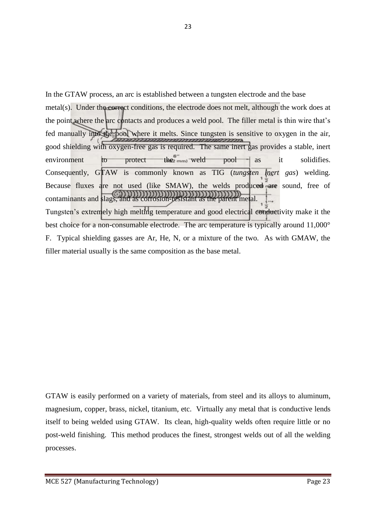In the GTAW process, an arc is established between a tungsten electrode and the base metal(s). Under the correct conditions, the electrode does not melt, although the work does at the point where the arc contacts and produces a weld pool. The filler metal is thin wire that"s fed manually into the pool where it melts. Since tungsten is sensitive to oxygen in the air, good shielding with oxygen-free gas is required. The same inert gas provides a stable, inert environment to protect the  $w = w + w + w$  pool as it solidifies. Consequently, GTAW is commonly known as TIG (*tungsten inert gas*) welding. Because fluxes are not used (like SMAW), the welds produced are sound, free of contaminants and slags, and as corrosion-resistant as the parent metal. Tungsten's extremely high melting temperature and good electrical conductivity make it the best choice for a non-consumable electrode. The arc temperature is typically around 11,000° F. Typical shielding gasses are Ar, He, N, or a mixture of the two. As with GMAW, the filler material usually is the same composition as the base metal.

GTAW is easily performed on a variety of materials, from steel and its alloys to aluminum, magnesium, copper, brass, nickel, titanium, etc. Virtually any metal that is conductive lends itself to being welded using GTAW. Its clean, high-quality welds often require little or no post-weld finishing. This method produces the finest, strongest welds out of all the welding processes.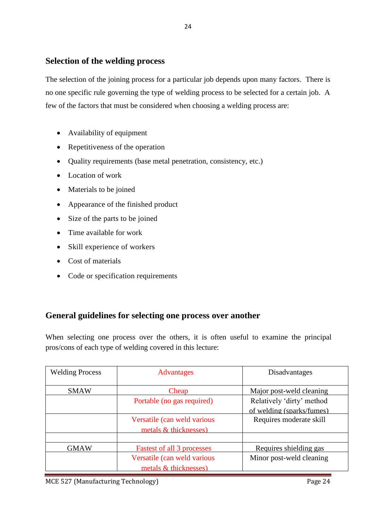## **Selection of the welding process**

The selection of the joining process for a particular job depends upon many factors. There is no one specific rule governing the type of welding process to be selected for a certain job. A few of the factors that must be considered when choosing a welding process are:

24

- Availability of equipment
- Repetitiveness of the operation
- Quality requirements (base metal penetration, consistency, etc.)
- Location of work
- Materials to be joined
- Appearance of the finished product
- Size of the parts to be joined
- Time available for work
- Skill experience of workers
- Cost of materials
- Code or specification requirements

## **General guidelines for selecting one process over another**

When selecting one process over the others, it is often useful to examine the principal pros/cons of each type of welding covered in this lecture:

| <b>Welding Process</b> | <b>Advantages</b>                 | Disadvantages             |
|------------------------|-----------------------------------|---------------------------|
|                        |                                   |                           |
| <b>SMAW</b>            | Cheap                             | Major post-weld cleaning  |
|                        | Portable (no gas required)        | Relatively 'dirty' method |
|                        |                                   | of welding (sparks/fumes) |
|                        | Versatile (can weld various       | Requires moderate skill   |
|                        | metals & thicknesses)             |                           |
|                        |                                   |                           |
| <b>GMAW</b>            | <b>Fastest of all 3 processes</b> | Requires shielding gas    |
|                        | Versatile (can weld various       | Minor post-weld cleaning  |
|                        | metals & thicknesses)             |                           |

MCE 527 (Manufacturing Technology) **Page 24**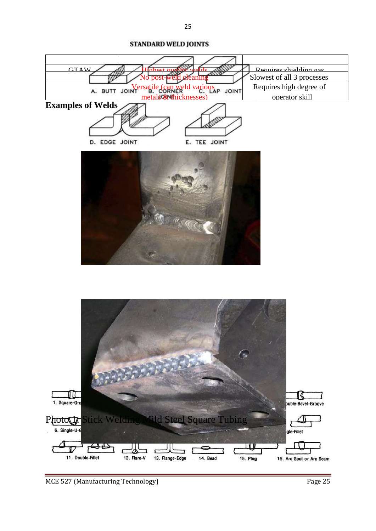

MCE 527 (Manufacturing Technology) Page 25